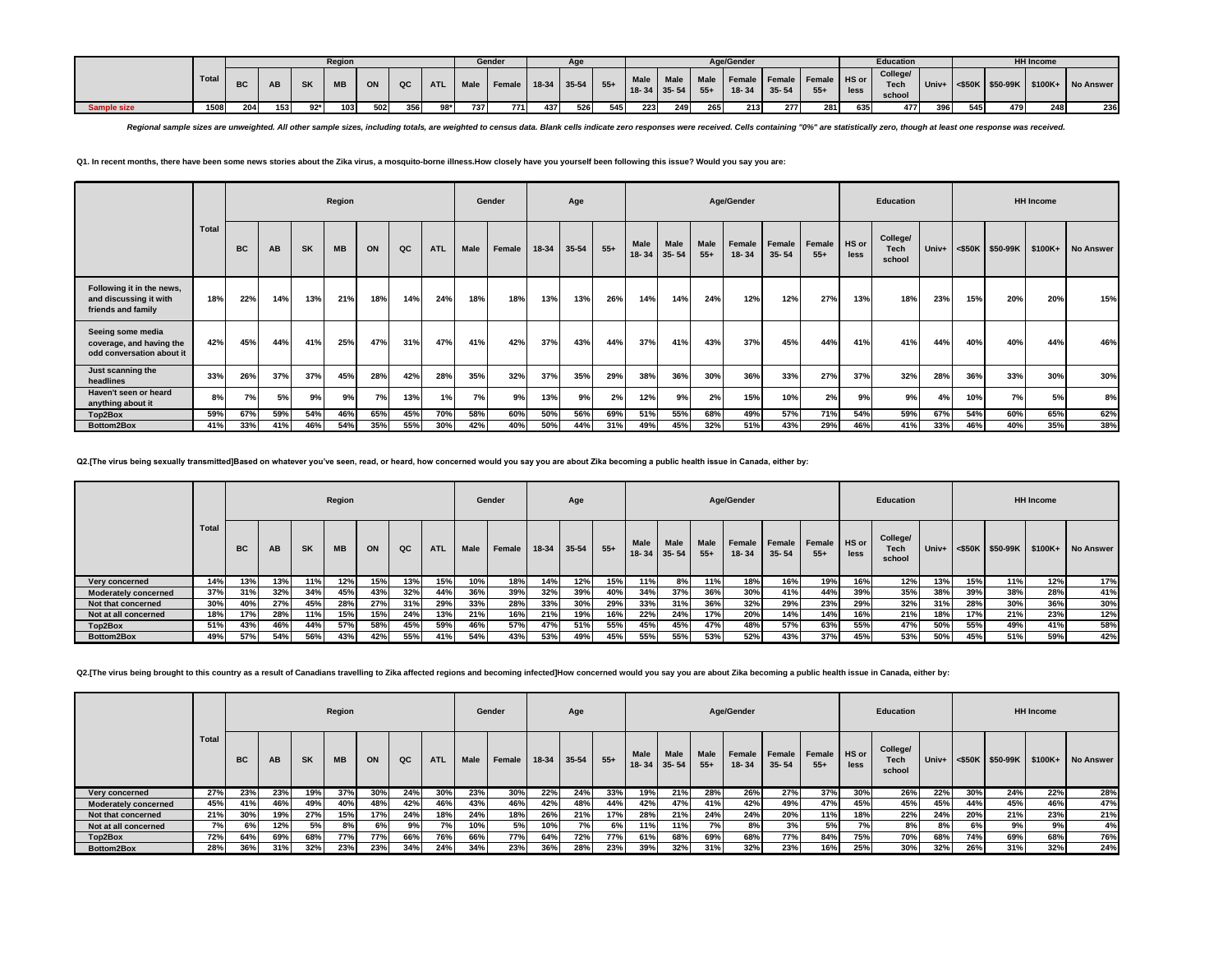|             |       |     |     |           | Region    |     |      |            |     | Gender      |     | Aae           |       |      |                             |               | Age/Gender                          |           |       |      | Education                         |     |     |     | <b>HH Income</b> |                                         |
|-------------|-------|-----|-----|-----------|-----------|-----|------|------------|-----|-------------|-----|---------------|-------|------|-----------------------------|---------------|-------------------------------------|-----------|-------|------|-----------------------------------|-----|-----|-----|------------------|-----------------------------------------|
|             | Total | ВC  | AB  | <b>SK</b> | <b>MB</b> | ON  | QC I | <b>ATL</b> |     | Male Female |     | $18-34$ 35-54 | $55+$ | Male | Male I<br>$18 - 34$ 35 - 54 | Male<br>$55+$ | Female Female Female HS or<br>18-34 | $35 - 54$ | $55+$ | less | College/<br><b>Tech</b><br>school |     |     |     |                  | Univ+ <\$50K \$50-99K \$100K+ No Answer |
| Sample size | 1508  | 204 | 153 | $92*$     | 103       | 502 | 356  | 98*1       | 737 | 771         | 437 | 526           | 545   | 223  | 249                         | 265           | 213                                 | 277       | 281   | 635  | 4771                              | 396 | 545 | 479 | 248              | 236                                     |

Regional sample sizes are unweighted. All other sample sizes, including totals, are weighted to census data. Blank cells indicate zero responses were received. Cells containing "0%" are statistically zero, though at least

**Q1. In recent months, there have been some news stories about the Zika virus, a mosquito-borne illness.How closely have you yourself been following this issue? Would you say you are:**

|                                                                            |              |           |     |           | Region    |     |     |            |             | Gender |       | Age   |       |                     |             |               | Age/Gender      |                     |                 |               | Education                         |       |     |                    | <b>HH Income</b> |                  |
|----------------------------------------------------------------------------|--------------|-----------|-----|-----------|-----------|-----|-----|------------|-------------|--------|-------|-------|-------|---------------------|-------------|---------------|-----------------|---------------------|-----------------|---------------|-----------------------------------|-------|-----|--------------------|------------------|------------------|
|                                                                            | <b>Total</b> | <b>BC</b> | AB  | <b>SK</b> | <b>MB</b> | ON  | QC  | <b>ATL</b> | <b>Male</b> | Female | 18-34 | 35-54 | $55+$ | Male<br>18-34 35-54 | <b>Male</b> | Male<br>$55+$ | Female<br>18-34 | Female<br>$35 - 54$ | Female<br>$55+$ | HS or<br>less | College/<br><b>Tech</b><br>school | Univ+ |     | $<$ \$50K \$50-99K | \$100K+          | <b>No Answer</b> |
| Following it in the news,<br>and discussing it with<br>friends and family  | 18%          | 22%       | 14% | 13%       | 21%       | 18% | 14% | 24%        | 18%         | 18%    | 13%   | 13%   | 26%   | 14%                 | 14%         | 24%           | 12%             | 12%                 | 27%             | 13%           | 18%                               | 23%   | 15% | 20%                | 20%              | 15%              |
| Seeing some media<br>coverage, and having the<br>odd conversation about it | 42%          | 45%       | 44% | 41%       | 25%       | 47% | 31% | 47%        | 41%         | 42%    | 37%   | 43%   | 44%   | 37%                 | 41%         | 43%           | 37%             | 45%                 | 44%             | 41%           | 41%                               | 44%   | 40% | 40%                | 44%              | 46%              |
| Just scanning the<br>headlines                                             | 33%          | 26%       | 37% | 37%       | 45%       | 28% | 42% | 28%        | 35%         | 32%    | 37%   | 35%   | 29%   | 38%                 | 36%         | 30%           | 36%             | 33%                 | 27%             | 37%           | 32%                               | 28%   | 36% | 33%                | 30%              | 30%              |
| Haven't seen or heard<br>anything about it                                 | 8%           | 7%        | 5%  | 9%        | 9%        | 7%  | 13% | 1%         | 7%          | 9%     | 13%   | 9%    | 2%    | 12%                 | 9%          | 2%            | 15%             | 10%                 | 2%              | 9%            | 9%                                | 4%    | 10% | 7%                 | 5%               | 8%               |
| Top2Box                                                                    | 59%          | 67%       | 59% | 54%       | 46%       | 65% | 45% | 70%        | 58%         | 60%    | 50%   | 56%   | 69%   | 51%                 | 55%         | 68%           | 49%             | 57%                 | 71%             | 54%           | 59%                               | 67%   | 54% | 60%                | 65%              | 62%              |
| Bottom2Box                                                                 | 41%          | 33%       | 41% | 46%       | 54%       | 35% | 55% | 30%        | 42%         | 40%    | 50%   | 44%   | 31%   | 49%                 | 45%         | 32%           | 51%             | 43%                 | 29%             | 46%           | 41%                               | 33%   | 46% | 40%                | 35%              | 38%              |

**Q2.[The virus being sexually transmitted]Based on whatever you've seen, read, or heard, how concerned would you say you are about Zika becoming a public health issue in Canada, either by:**

|                             |              |           |           |           | Region    |     |     |            |      | Gender |       | Age        |       |                           |             |                      | Age/Gender      |                     |                 |               | <b>Education</b>                  |       |     |     | <b>HH</b> Income |                                         |
|-----------------------------|--------------|-----------|-----------|-----------|-----------|-----|-----|------------|------|--------|-------|------------|-------|---------------------------|-------------|----------------------|-----------------|---------------------|-----------------|---------------|-----------------------------------|-------|-----|-----|------------------|-----------------------------------------|
|                             | <b>Total</b> | <b>BC</b> | <b>AB</b> | <b>SK</b> | <b>MB</b> | ON  | QC  | <b>ATL</b> | Male | Female | 18-34 | 35-54      | $55+$ | Male<br>$18 - 34$ 35 - 54 | <b>Male</b> | <b>Male</b><br>$55+$ | Female<br>18-34 | Female<br>$35 - 54$ | Female<br>$55+$ | HS or<br>less | College/<br><b>Tech</b><br>school | Univ+ |     |     |                  | <\$50K   \$50-99K   \$100K+   No Answer |
| Very concerned              | 14%          | 13%       | 13%       | 11%       | 12%       | 15% | 13% | 15%        | 10%  | 18%    | 14%   | 12%        | 15%   | 11%                       | 8%          | 11%                  | 18%             | 16%                 | 19%             | 16%           | 12%                               | 13%   | 15% | 11% | 12%              | 17%                                     |
| <b>Moderately concerned</b> | 37%          | 31%       | 32%       | 34%       | 45%       | 43% | 32% | 44%        | 36%  | 39%    | 32%   | 39%        | 40%   | 34%                       | 37%         | 36%                  | 30%             | 41%                 | 44%             | 39%           | 35%                               | 38%   | 39% | 38% | 28%              | 41%                                     |
| Not that concerned          | 30%          | 40%       | 27%       | 45%       | 28%       | 27% | 31% | 29%        | 33%  | 28%    | 33%   | 30%        | 29%   | 33%                       | 31%         | 36%                  | 32%             | 29%                 | 23%             | 29%           | 32%                               | 31%   | 28% | 30% | 36%              | 30%                                     |
| Not at all concerned        | 18%          | 17%       | 28%       | 11%       | 15%       | 15% | 24% | 13%        | 21%  | 16%    | 21%   | 19%        | 16%   | 22%                       | 24%         | 17%                  | 20%             | 14%                 | 14%             | 16%           | 21%                               | 18%   | 17% | 21% | 23%              | 12%                                     |
| Top2Box                     | 51%          | 43%       | 46%       | 44%       | 57%       | 58% | 45% | 59%        | 46%  | 57%    | 47%   | <b>51%</b> | 55%   | 45%                       | 45%         | 47%                  | 48%             | 57%                 | 63%             | 55%           | 47%                               | 50%   | 55% | 49% | 41%              | 58%                                     |
| Bottom2Box                  | 49%          | 57%       | 54%       | 56%       | 43%       | 42% | 55% | 41%        | 54%  | 43%    | 53%   | 49%        | 45%   | 55%                       | 55%         | 53%                  | 52%             | 43%                 | 37%             | 45%           | 53%                               | 50%   | 45% | 51% | 59%              | 42%                                     |

Q2.[The virus being brought to this country as a result of Canadians travelling to Zika affected regions and becoming infected]How concerned would you say you are about Zika becoming a public health issue in Canada, either

|                             |              |           |           |           | Region    |     |     |            |      | Gender |             | Age  |       |                            |             |                      | Age/Gender          |                     |                         |      | Education                         |         |     |                    | <b>HH</b> Income |                   |
|-----------------------------|--------------|-----------|-----------|-----------|-----------|-----|-----|------------|------|--------|-------------|------|-------|----------------------------|-------------|----------------------|---------------------|---------------------|-------------------------|------|-----------------------------------|---------|-----|--------------------|------------------|-------------------|
|                             | <b>Total</b> | <b>BC</b> | <b>AB</b> | <b>SK</b> | <b>MB</b> | ON  | QC  | <b>ATL</b> | Male | Female | 18-34 35-54 |      | $55+$ | <b>Male</b><br>18-34 35-54 | <b>Male</b> | <b>Male</b><br>$55+$ | Female<br>$18 - 34$ | Female<br>$35 - 54$ | Female   HS or<br>$55+$ | less | College/<br><b>Tech</b><br>school | Univ+ I |     | $<$ \$50K \$50-99K |                  | \$100K+ No Answer |
| Very concerned              | 27%          | 23%       | 23%       | 19%       | 37%       | 30% | 24% | 30%        | 23%  | 30%    | 22%         | 24%  | 33%   | 19%                        | 21%         | 28%                  | 26%                 | 27%                 | 37%                     | 30%  | 26%                               | 22%     | 30% | 24%                | 22%              | 28%               |
| <b>Moderately concerned</b> | 45%          | 41%       | 46%       | 49%       | 40%       | 48% | 42% | 46%        | 43%  | 46%    | 42%         | 48%  | 44%   | 42%                        | 47%         | 41%                  | 42%                 | 49%                 | 47%                     | 45%  | 45%                               | 45%     | 44% | 45%                | 46%              | 47%               |
| Not that concerned          | 21%          | 30%       | 19%       | 27%       | 15%       | 17% | 24% | 18%        | 24%  | 18%    | 26%         | 21%  | 17%   | 28%                        | 21%         | 24%                  | 24%                 | 20%                 | 11%                     | 18%  | 22%                               | 24%     | 20% | 21%                | 23%              | 21%               |
| Not at all concerned        | 7%           | 6%        | 12%       | 5%        | 8%        | 6%  | 9%  | 7%         | 10%  | 5%     | 10%         | 7% l | 6%    | 11%                        | 11%         | 7%                   | 8%                  | 3%                  | 5%                      | 7%   | 8%                                | 8%      | 6%  | 9%                 | 9%               | 4%                |
| Top2Box                     | 72%          | 64%       | 69%       | 68%       | 77%       | 77% | 66% | 76%        | 66%  | 77%    | 64%         | 72%  | 77%   | 61%                        | 68%         | 69%                  | 68%                 | 77%                 | 84%                     | 75%  | 70%                               | 68%     | 74% | 69%                | 68%              | 76%               |
| Bottom2Box                  | 28%          | 36%       | 31%       | 32%       | 23%       | 23% | 34% | 24%        | 34%  | 23%    | 36%         | 28%  | 23%   | 39%                        | 32%         | 31%                  | 32%                 | 23%                 | 16%                     | 25%  | 30%                               | 32%     | 26% | 31%                | 32%              | 24%               |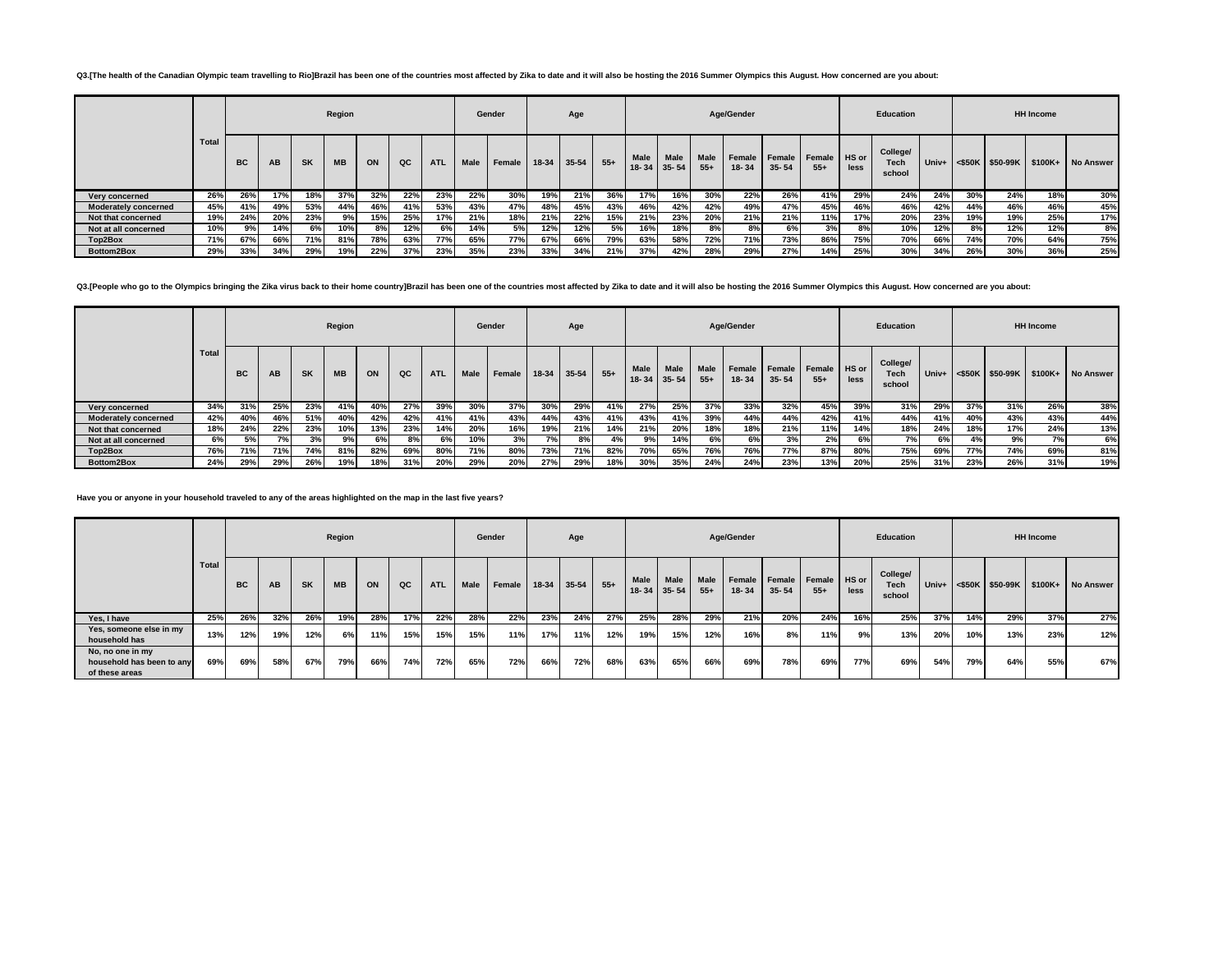## Q3.[The health of the Canadian Olympic team travelling to Rio]Brazil has been one of the countries most affected by Zika to date and it will also be hosting the 2016 Summer Olympics this August. How concerned are you about

|                             |              |           |           |           | Region    |     |     |            |      | Gender     |         | Age   |       |                     |             |                      | Age/Gender          |                     |                 |               | <b>Education</b>                  |     |     |     | <b>HH</b> Income |                                               |
|-----------------------------|--------------|-----------|-----------|-----------|-----------|-----|-----|------------|------|------------|---------|-------|-------|---------------------|-------------|----------------------|---------------------|---------------------|-----------------|---------------|-----------------------------------|-----|-----|-----|------------------|-----------------------------------------------|
|                             | <b>Total</b> | <b>BC</b> | <b>AB</b> | <b>SK</b> | <b>MB</b> | ON  | QC  | <b>ATL</b> | Male | Female     | $18-34$ | 35-54 | $55+$ | Male<br>18-34 35-54 | <b>Male</b> | <b>Male</b><br>$55+$ | Female<br>$18 - 34$ | Female<br>$35 - 54$ | Female<br>$55+$ | HS or<br>less | College/<br><b>Tech</b><br>school |     |     |     |                  | Univ+ <\$50K   \$50-99K   \$100K+   No Answer |
| Very concerned              | 26%          | 26%       | 17%       | 18%       | 37%       | 32% | 22% | 23%        | 22%  | 30%        | 19%     | 21%   | 36%   | 17%                 | 16%         | 30%                  | 22%                 | 26%                 | 41%             | 29%           | 24%                               | 24% | 30% | 24% | 18%              | 30%                                           |
| <b>Moderately concerned</b> | 45%          | 41%       | 49%       | 53%       | 44%       | 46% | 41% | 53%        | 43%  | 47%        | 48%     | 45%   | 43%   | 46%                 | 42%         | 42%                  | 49%                 | 47%                 | 45%             | 46%           | 46%                               | 42% | 44% | 46% | 46%              | 45%                                           |
| Not that concerned          | 19%          | 24%       | 20%       | 23%       | 9%        | 15% | 25% | 17%        | 21%  | 18%        | 21%     | 22%   | 15%   | 21%                 | 23%         | 20%                  | 21%                 | 21%                 | 11%             | 17%           | 20%                               | 23% | 19% | 19% | 25%              | 17%                                           |
| Not at all concerned        | 10%          | 9%        | 14%       | 6%        | 10%       | 8%  | 12% | 6%         | 14%  | 5%         | 12%     | 12%   | 5%    | 16%                 | 18%         | 8%                   | 8%                  | 6%                  | 3%              | 8%            | 10%                               | 12% | 8%  | 12% | 12%              | 8%                                            |
| Top2Box                     | 71%          | 67%       | 66%       | 71%       | 81%       | 78% | 63% | 77%        | 65%  | <b>77%</b> | 67%     | 66%   | 79%   | 63%                 | 58%         | 72%                  | 71%                 | 73%                 | 86%             | 75%           | 70%                               | 66% | 74% | 70% | 64%              | 75%                                           |
| Bottom2Box                  | 29%          | 33%       | 34%       | 29%       | 19%       | 22% | 37% | 23%        | 35%  | 23%        | 33%     | 34%   | 21%   | 37%                 | 42%         | 28%                  | 29%                 | 27%                 | 14%             | 25%           | 30%                               | 34% | 26% | 30% | 36%              | 25%                                           |

Q3.[People who go to the Olympics bringing the Zika virus back to their home country]Brazil has been one of the countries most affected by Zika to date and it will also be hosting the 2016 Summer Olympics this August. How

|                             |              |           |           |           | Region    |     |     |            |      | Gender |       | Age   |       |                          |                          |                      | Age/Gender          |                            |                         |      | Education                         |       |     |                    | <b>HH Income</b> |                   |
|-----------------------------|--------------|-----------|-----------|-----------|-----------|-----|-----|------------|------|--------|-------|-------|-------|--------------------------|--------------------------|----------------------|---------------------|----------------------------|-------------------------|------|-----------------------------------|-------|-----|--------------------|------------------|-------------------|
|                             | <b>Total</b> | <b>BC</b> | <b>AB</b> | <b>SK</b> | <b>MB</b> | ON  | QC  | <b>ATL</b> | Male | Female | 18-34 | 35-54 | $55+$ | <b>Male</b><br>$18 - 34$ | <b>Male</b><br>$35 - 54$ | <b>Male</b><br>$55+$ | Female<br>$18 - 34$ | <b>Female</b><br>$35 - 54$ | Female   HS or<br>$55+$ | less | College/<br><b>Tech</b><br>school | Univ+ |     | $<$ \$50K \$50-99K |                  | \$100K+ No Answer |
| Very concerned              | 34%          | 31%       | 25%       | 23%       | 41%       | 40% | 27% | 39%        | 30%  | 37%    | 30%   | 29%   | 41%   | 27%                      | 25%                      | 37%                  | 33%                 | 32%                        | 45%                     | 39%  | 31%                               | 29%   | 37% | 31%                | 26%              | 38%               |
| <b>Moderately concerned</b> | 42%          | 40%       | 46%       | 51%       | 40%       | 42% | 42% | 41%        | 41%  | 43%    | 44%   | 43%   | 41%   | 43%                      | 41%                      | 39%                  | 44%                 | 44%                        | 42%                     | 41%  | 44%                               | 41%   | 40% | 43%                | 43%              | 44%               |
| Not that concerned          | 18%          | 24%       | 22%       | 23%       | 10%       | 13% | 23% | 14%        | 20%  | 16%    | 19%   | 21%   | 14%   | 21%                      | 20%                      | 18%                  | 18%                 | 21%                        | 11%                     | 14%  | 18%                               | 24%   | 18% | 17%                | 24%              | 13%               |
| Not at all concerned        | 6%           | 5%        | 7%        | 3%        | 9%        | 6%  | 8%  | 6%         | 10%  | 3%     | 7%    | 8%    | 4%    | 9%                       | 14%                      | 6%                   | 6%                  | 3%                         | 2%                      | 6%   | 7%                                | 6%    | 4%  | 9%                 | 7%               | 6%                |
| Top2Box                     | 76%          | 71%       | 71%       | 74%       | 81%       | 82% | 69% | 80%        | 71%  | 80%    | 73%   | 71%   | 82%   | 70%                      | 65%                      | 76%                  | 76%                 | 77%                        | 87%                     | 80%  | 75%                               | 69%   | 77% | 74%                | 69%              | 81%               |
| Bottom2Box                  | 24%          | 29%       | 29%       | 26%       | 19%       | 18% | 31% | 20%        | 29%  | 20%    | 27%   | 29%   | 18%   | 30%                      | 35%                      | 24%                  | 24%                 | 23%                        | 13%                     | 20%  | 25%                               | 31%   | 23% | 26%                | 31%              | 19%               |

**Have you or anyone in your household traveled to any of the areas highlighted on the map in the last five years?**

|                                                                 |       |     |           |           | Region    |     |     |            |      | Gender        |       | Age   |       |                          |                          |                      | Age/Gender      |                            |                       |      | Education                         |       |     |                 | <b>HH Income</b> |                   |
|-----------------------------------------------------------------|-------|-----|-----------|-----------|-----------|-----|-----|------------|------|---------------|-------|-------|-------|--------------------------|--------------------------|----------------------|-----------------|----------------------------|-----------------------|------|-----------------------------------|-------|-----|-----------------|------------------|-------------------|
|                                                                 | Total | BC  | <b>AB</b> | <b>SK</b> | <b>MB</b> | ON  | QC  | <b>ATL</b> | Male | <b>Female</b> | 18-34 | 35-54 | $55+$ | <b>Male</b><br>$18 - 34$ | <b>Male</b><br>$35 - 54$ | <b>Male</b><br>$55+$ | Female<br>18-34 | <b>Female</b><br>$35 - 54$ | Female HS or<br>$55+$ | less | College/<br><b>Tech</b><br>school | Univ+ |     | <\$50K \$50-99K |                  | \$100K+ No Answer |
| Yes, I have                                                     | 25%   | 26% | 32%       | 26%       | 19%       | 28% | 17% | 22%        | 28%  | 22%           | 23%   | 24%   | 27%   | 25%                      | 28%                      | 29%                  | 21%             | 20%                        | 24%                   | 16%  | 25%                               | 37%   | 14% | 29%             | 37%              | 27%               |
| Yes, someone else in my<br>household has                        | 13%   | 12% | 19%       | 12%       | 6%        | 11% | 15% | 15%        | 15%  | 11%           | 17%   | 11%   | 12%   | 19%                      | 15%                      | 12%                  | 16%             | 8%                         | 11%                   | 9%   | 13%                               | 20%   | 10% | 13%             | 23%              | 12%               |
| No, no one in my<br>household has been to any<br>of these areas | 69%   | 69% | 58%       | 67%       | 79%       | 66% | 74% | 72%        | 65%  | 72%           | 66%   | 72%   | 68%   | 63%                      | 65%                      | 66%                  | 69%             | 78%                        | 69%                   | 77%  | 69%                               | 54%   | 79% | 64%             | 55%              | 67%               |